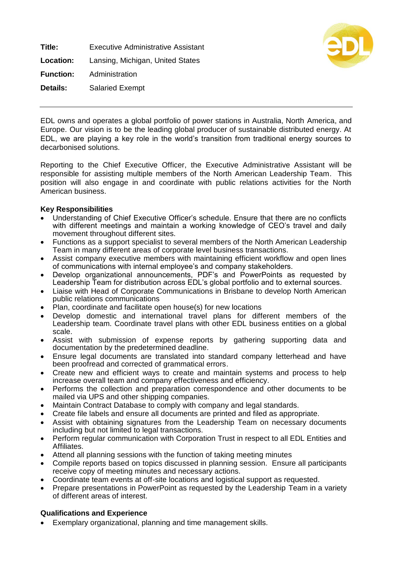**Title:** Executive Administrative Assistant **Location:** Lansing, Michigan, United States **Function:** Administration **Details:** Salaried Exempt



EDL owns and operates a global portfolio of power stations in Australia, North America, and Europe. Our vision is to be the leading global producer of sustainable distributed energy. At EDL, we are playing a key role in the world's transition from traditional energy sources to decarbonised solutions.

Reporting to the Chief Executive Officer, the Executive Administrative Assistant will be responsible for assisting multiple members of the North American Leadership Team. This position will also engage in and coordinate with public relations activities for the North American business.

## **Key Responsibilities**

- Understanding of Chief Executive Officer's schedule. Ensure that there are no conflicts with different meetings and maintain a working knowledge of CEO's travel and daily movement throughout different sites.
- Functions as a support specialist to several members of the North American Leadership Team in many different areas of corporate level business transactions.
- Assist company executive members with maintaining efficient workflow and open lines of communications with internal employee's and company stakeholders.
- Develop organizational announcements, PDF's and PowerPoints as requested by Leadership Team for distribution across EDL's global portfolio and to external sources.
- Liaise with Head of Corporate Communications in Brisbane to develop North American public relations communications
- Plan, coordinate and facilitate open house(s) for new locations
- Develop domestic and international travel plans for different members of the Leadership team. Coordinate travel plans with other EDL business entities on a global scale.
- Assist with submission of expense reports by gathering supporting data and documentation by the predetermined deadline.
- Ensure legal documents are translated into standard company letterhead and have been proofread and corrected of grammatical errors.
- Create new and efficient ways to create and maintain systems and process to help increase overall team and company effectiveness and efficiency.
- Performs the collection and preparation correspondence and other documents to be mailed via UPS and other shipping companies.
- Maintain Contract Database to comply with company and legal standards.
- Create file labels and ensure all documents are printed and filed as appropriate.
- Assist with obtaining signatures from the Leadership Team on necessary documents including but not limited to legal transactions.
- Perform regular communication with Corporation Trust in respect to all EDL Entities and Affiliates.
- Attend all planning sessions with the function of taking meeting minutes
- Compile reports based on topics discussed in planning session. Ensure all participants receive copy of meeting minutes and necessary actions.
- Coordinate team events at off-site locations and logistical support as requested.
- Prepare presentations in PowerPoint as requested by the Leadership Team in a variety of different areas of interest.

## **Qualifications and Experience**

• Exemplary organizational, planning and time management skills.